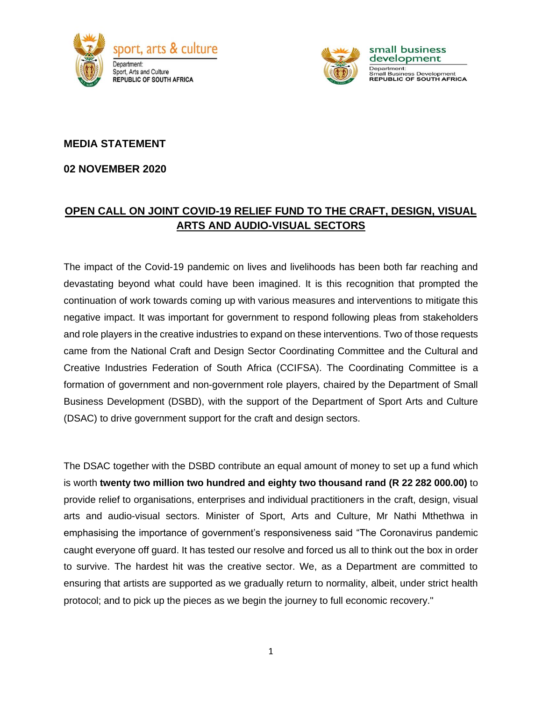



small business development Department: Department.<br>Small Business Development<br>**REPUBLIC OF SOUTH AFRICA** 

### **MEDIA STATEMENT**

#### **02 NOVEMBER 2020**

# **OPEN CALL ON JOINT COVID-19 RELIEF FUND TO THE CRAFT, DESIGN, VISUAL ARTS AND AUDIO-VISUAL SECTORS**

The impact of the Covid-19 pandemic on lives and livelihoods has been both far reaching and devastating beyond what could have been imagined. It is this recognition that prompted the continuation of work towards coming up with various measures and interventions to mitigate this negative impact. It was important for government to respond following pleas from stakeholders and role players in the creative industries to expand on these interventions. Two of those requests came from the National Craft and Design Sector Coordinating Committee and the Cultural and Creative Industries Federation of South Africa (CCIFSA). The Coordinating Committee is a formation of government and non-government role players, chaired by the Department of Small Business Development (DSBD), with the support of the Department of Sport Arts and Culture (DSAC) to drive government support for the craft and design sectors.

The DSAC together with the DSBD contribute an equal amount of money to set up a fund which is worth **twenty two million two hundred and eighty two thousand rand (R 22 282 000.00)** to provide relief to organisations, enterprises and individual practitioners in the craft, design, visual arts and audio-visual sectors. Minister of Sport, Arts and Culture, Mr Nathi Mthethwa in emphasising the importance of government's responsiveness said "The Coronavirus pandemic caught everyone off guard. It has tested our resolve and forced us all to think out the box in order to survive. The hardest hit was the creative sector. We, as a Department are committed to ensuring that artists are supported as we gradually return to normality, albeit, under strict health protocol; and to pick up the pieces as we begin the journey to full economic recovery."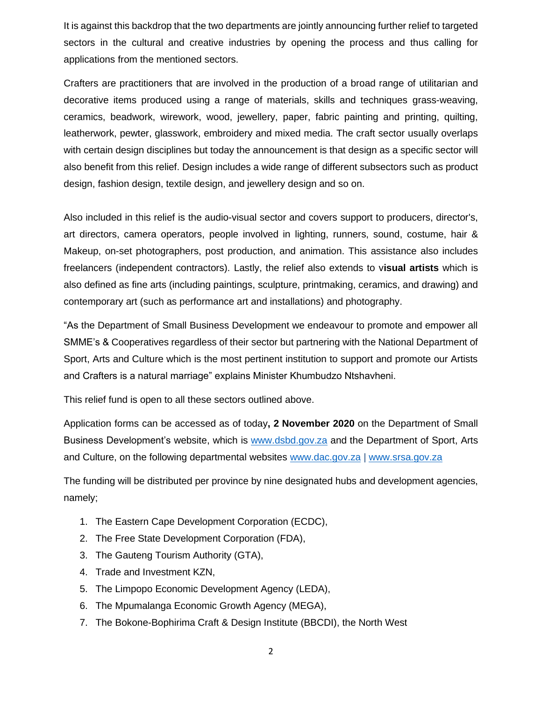It is against this backdrop that the two departments are jointly announcing further relief to targeted sectors in the cultural and creative industries by opening the process and thus calling for applications from the mentioned sectors.

Crafters are practitioners that are involved in the production of a broad range of utilitarian and decorative items produced using a range of materials, skills and techniques grass-weaving, ceramics, beadwork, wirework, wood, jewellery, paper, fabric painting and printing, quilting, leatherwork, pewter, glasswork, embroidery and mixed media. The craft sector usually overlaps with certain design disciplines but today the announcement is that design as a specific sector will also benefit from this relief. Design includes a wide range of different subsectors such as [product](https://www.strate.education/gallery/news/product-design-definition)  [design,](https://www.strate.education/gallery/news/product-design-definition) fashion design, textile design, and jewellery design and so on.

Also included in this relief is the audio-visual sector and covers support to producers, director's, art directors, camera operators, people involved in lighting, runners, sound, costume, hair & Makeup, on-set photographers, post production, and animation. This assistance also includes freelancers (independent contractors). Lastly, the relief also extends to v**isual artists** which is also defined as fine arts (including paintings, sculpture, printmaking, ceramics, and drawing) and contemporary art (such as performance art and installations) and photography.

"As the Department of Small Business Development we endeavour to promote and empower all SMME's & Cooperatives regardless of their sector but partnering with the National Department of Sport, Arts and Culture which is the most pertinent institution to support and promote our Artists and Crafters is a natural marriage" explains Minister Khumbudzo Ntshavheni.

This relief fund is open to all these sectors outlined above.

Application forms can be accessed as of today**, 2 November 2020** on the Department of Small Business Development's website, which is [www.dsbd.gov.za](http://www.dsbd.gov.za/) and the Department of Sport, Arts and Culture, on the following departmental websites [www.dac.gov.za](http://www.dac.gov.za/) | [www.srsa.gov.za](http://www.srsa.gov.za/)

The funding will be distributed per province by nine designated hubs and development agencies, namely;

- 1. The Eastern Cape Development Corporation (ECDC),
- 2. The Free State Development Corporation (FDA),
- 3. The Gauteng Tourism Authority (GTA),
- 4. Trade and Investment KZN,
- 5. The Limpopo Economic Development Agency (LEDA),
- 6. The Mpumalanga Economic Growth Agency (MEGA),
- 7. The Bokone-Bophirima Craft & Design Institute (BBCDI), the North West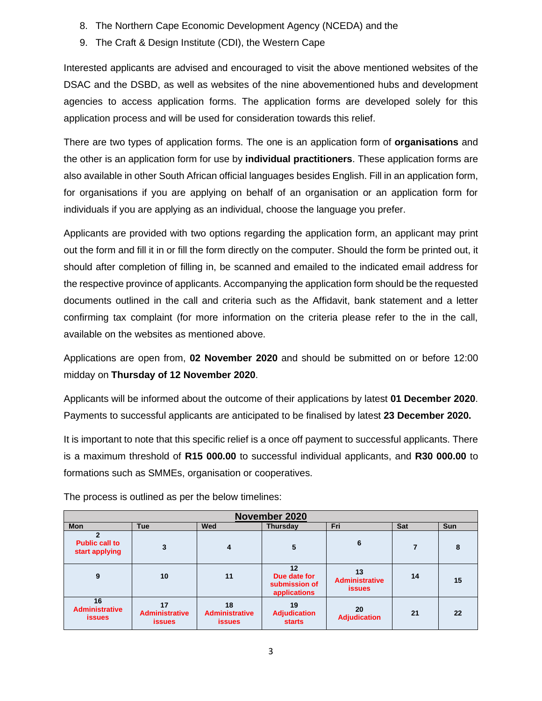- 8. The Northern Cape Economic Development Agency (NCEDA) and the
- 9. The Craft & Design Institute (CDI), the Western Cape

Interested applicants are advised and encouraged to visit the above mentioned websites of the DSAC and the DSBD, as well as websites of the nine abovementioned hubs and development agencies to access application forms. The application forms are developed solely for this application process and will be used for consideration towards this relief.

There are two types of application forms. The one is an application form of **organisations** and the other is an application form for use by **individual practitioners**. These application forms are also available in other South African official languages besides English. Fill in an application form, for organisations if you are applying on behalf of an organisation or an application form for individuals if you are applying as an individual, choose the language you prefer.

Applicants are provided with two options regarding the application form, an applicant may print out the form and fill it in or fill the form directly on the computer. Should the form be printed out, it should after completion of filling in, be scanned and emailed to the indicated email address for the respective province of applicants. Accompanying the application form should be the requested documents outlined in the call and criteria such as the Affidavit, bank statement and a letter confirming tax complaint (for more information on the criteria please refer to the in the call, available on the websites as mentioned above.

Applications are open from, **02 November 2020** and should be submitted on or before 12:00 midday on **Thursday of 12 November 2020**.

Applicants will be informed about the outcome of their applications by latest **01 December 2020**. Payments to successful applicants are anticipated to be finalised by latest **23 December 2020.**

It is important to note that this specific relief is a once off payment to successful applicants. There is a maximum threshold of **R15 000.00** to successful individual applicants, and **R30 000.00** to formations such as SMMEs, organisation or cooperatives.

| November 2020                                |                                              |                                              |                                                     |                                              |     |            |  |  |  |  |
|----------------------------------------------|----------------------------------------------|----------------------------------------------|-----------------------------------------------------|----------------------------------------------|-----|------------|--|--|--|--|
| <b>Mon</b>                                   | <b>Tue</b>                                   | Wed                                          | <b>Thursday</b>                                     | Fri                                          | Sat | <b>Sun</b> |  |  |  |  |
| <b>Public call to</b><br>start applying      | 3                                            | 4                                            | 5                                                   | 6                                            |     | 8          |  |  |  |  |
| 9                                            | 10                                           | 11                                           | 12<br>Due date for<br>submission of<br>applications | 13<br><b>Administrative</b><br><b>issues</b> | 14  | 15         |  |  |  |  |
| 16<br><b>Administrative</b><br><b>issues</b> | 17<br><b>Administrative</b><br><b>issues</b> | 18<br><b>Administrative</b><br><b>issues</b> | 19<br><b>Adjudication</b><br><b>starts</b>          | 20<br><b>Adjudication</b>                    | 21  | 22         |  |  |  |  |

The process is outlined as per the below timelines: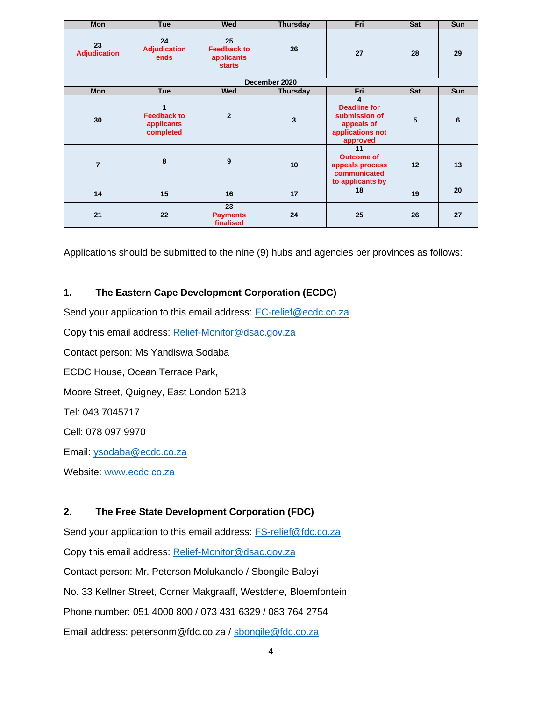| Mon                       | <b>Tue</b>                                         | Wed                                                     | <b>Thursday</b>         | Fri                                                                                     | Sat | Sun |  |  |  |  |
|---------------------------|----------------------------------------------------|---------------------------------------------------------|-------------------------|-----------------------------------------------------------------------------------------|-----|-----|--|--|--|--|
| 23<br><b>Adjudication</b> | 24<br><b>Adjudication</b><br>ends                  | 25<br><b>Feedback to</b><br>applicants<br><b>starts</b> | 26                      | 27                                                                                      | 28  | 29  |  |  |  |  |
| December 2020             |                                                    |                                                         |                         |                                                                                         |     |     |  |  |  |  |
| Mon                       | <b>Tue</b>                                         | Wed                                                     | Thursday                | Fri                                                                                     | Sat | Sun |  |  |  |  |
| 30                        | 1<br><b>Feedback to</b><br>applicants<br>completed | $\overline{2}$                                          | $\overline{\mathbf{3}}$ | 4<br><b>Deadline for</b><br>submission of<br>appeals of<br>applications not<br>approved | 5   | 6   |  |  |  |  |
| $\overline{7}$            | 8                                                  | 9                                                       | 10                      | 11<br><b>Outcome of</b><br>appeals process<br>communicated<br>to applicants by          | 12  | 13  |  |  |  |  |
| 14                        | 15                                                 | 16                                                      | 17                      | 18                                                                                      | 19  | 20  |  |  |  |  |
| 21                        | 22                                                 | 23<br><b>Payments</b><br>finalised                      | 24                      | 25                                                                                      | 26  | 27  |  |  |  |  |

Applications should be submitted to the nine (9) hubs and agencies per provinces as follows:

#### **1. The Eastern Cape Development Corporation (ECDC)**

Send your application to this email address: [EC-relief@ecdc.co.za](mailto:EC-relief@ecdc.co.za) Copy this email address: [Relief-Monitor@dsac.gov.za](mailto:Relief-Monitor@dsac.gov.za) Contact person: Ms Yandiswa Sodaba ECDC House, Ocean Terrace Park, Moore Street, Quigney, East London 5213 Tel: 043 7045717 Cell: 078 097 9970 Email: [ysodaba@ecdc.co.za](mailto:ysodaba@ecdc.co.za) Website: [www.ecdc.co.za](http://www.ecdc.co.za/)

### **2. The Free State Development Corporation (FDC)**

Send your application to this email address: [FS-relief@fdc.co.za](mailto:FS-relief@fdc.co.za) Copy this email address: [Relief-Monitor@dsac.gov.za](mailto:Relief-Monitor@dsac.gov.za) Contact person: Mr. Peterson Molukanelo / Sbongile Baloyi No. 33 Kellner Street, Corner Makgraaff, Westdene, Bloemfontein Phone number: 051 4000 800 / 073 431 6329 / 083 764 2754 Email address: petersonm@fdc.co.za / [sbongile@fdc.co.za](mailto:sbongile@fdc.co.za)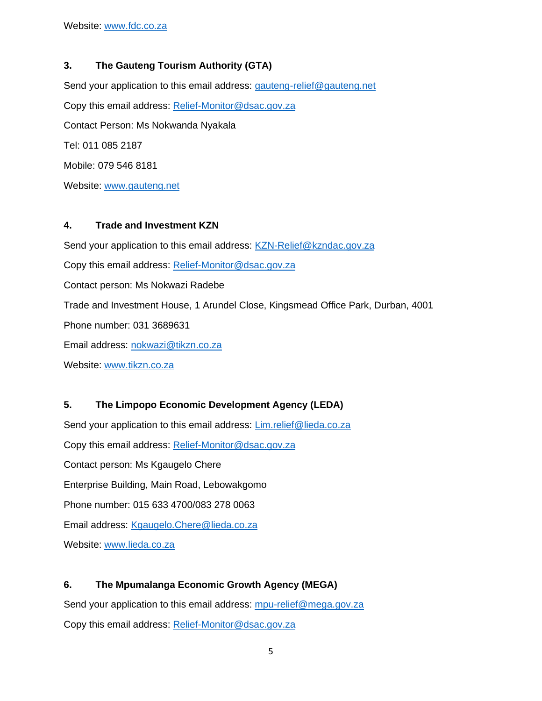### **3. The Gauteng Tourism Authority (GTA)**

Send your application to this email address: [gauteng-relief@gauteng.net](mailto:gauteng-relief@gauteng.net) Copy this email address: [Relief-Monitor@dsac.gov.za](mailto:Relief-Monitor@dsac.gov.za) Contact Person: Ms Nokwanda Nyakala Tel: 011 085 2187 Mobile: 079 546 8181 Website: [www.gauteng.net](http://www.gauteng.net/)

### **4. Trade and Investment KZN**

Send your application to this email address: [KZN-Relief@kzndac.gov.za](mailto:KZN-Relief@kzndac.gov.za) Copy this email address: [Relief-Monitor@dsac.gov.za](mailto:Relief-Monitor@dsac.gov.za) Contact person: Ms Nokwazi Radebe Trade and Investment House, 1 Arundel Close, Kingsmead Office Park, Durban, 4001 Phone number: 031 3689631 Email address: [nokwazi@tikzn.co.za](mailto:nokwazi@tikzn.co.za) Website: [www.tikzn.co.za](http://www.tikzn.co.za/)

# **5. The Limpopo Economic Development Agency (LEDA)**

Send your application to this email address: [Lim.relief@lieda.co.za](mailto:Lim.relief@lieda.co.za) Copy this email address: [Relief-Monitor@dsac.gov.za](mailto:Relief-Monitor@dsac.gov.za) Contact person: Ms Kgaugelo Chere Enterprise Building, Main Road, Lebowakgomo Phone number: 015 633 4700/083 278 0063 Email address: [Kgaugelo.Chere@lieda.co.za](mailto:Kgaugelo.Chere@lieda.co.za) Website: [www.lieda.co.za](http://www.lieda.co.za/)

# **6. The Mpumalanga Economic Growth Agency (MEGA)**

Send your application to this email address: [mpu-relief@mega.gov.za](mailto:mpu-relief@mega.gov.za)

Copy this email address: [Relief-Monitor@dsac.gov.za](mailto:Relief-Monitor@dsac.gov.za)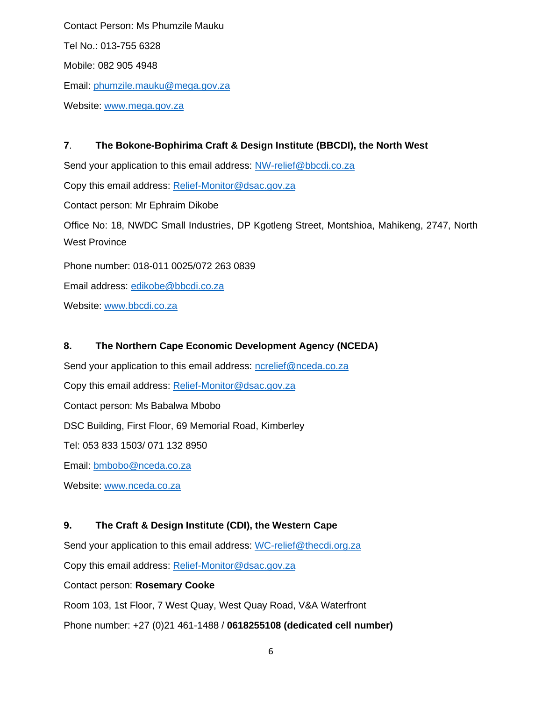Contact Person: Ms Phumzile Mauku Tel No.: 013-755 6328 Mobile: 082 905 4948 Email: [phumzile.mauku@mega.gov.za](mailto:phumzile.mauku@mega.gov.za) Website: [www.mega.gov.za](http://www.mega.gov.za/)

**7**. **The Bokone-Bophirima Craft & Design Institute (BBCDI), the North West** Send your application to this email address: [NW-relief@bbcdi.co.za](mailto:NW-relief@bbcdi.co.za) Copy this email address: [Relief-Monitor@dsac.gov.za](mailto:Relief-Monitor@dsac.gov.za) Contact person: Mr Ephraim Dikobe Office No: 18, NWDC Small Industries, DP Kgotleng Street, Montshioa, Mahikeng, 2747, North West Province Phone number: 018-011 0025/072 263 0839 Email address: [edikobe@bbcdi.co.za](mailto:edikobe@bbcdi.co.za)

Website: [www.bbcdi.co.za](http://www.bbcdi.co.za/)

#### **8. The Northern Cape Economic Development Agency (NCEDA)**

Send your application to this email address: [ncrelief@nceda.co.za](mailto:ncrelief@nceda.co.za) Copy this email address: [Relief-Monitor@dsac.gov.za](mailto:Relief-Monitor@dsac.gov.za) Contact person: Ms Babalwa Mbobo DSC Building, First Floor, 69 Memorial Road, Kimberley Tel: 053 833 1503/ 071 132 8950 Email: [bmbobo@nceda.co.za](mailto:bmbobo@nceda.co.za) Website: [www.nceda.co.za](http://www.nceda.co.za/)

### **9. The Craft & Design Institute (CDI), the Western Cape**

Send your application to this email address: [WC-relief@thecdi.org.za](mailto:WC-relief@thecdi.org.za)

Copy this email address: [Relief-Monitor@dsac.gov.za](mailto:Relief-Monitor@dsac.gov.za)

Contact person: **Rosemary Cooke** 

Room 103, 1st Floor, 7 West Quay, West Quay Road, V&A Waterfront

Phone number: +27 (0)21 461-1488 / **0618255108 (dedicated cell number)**